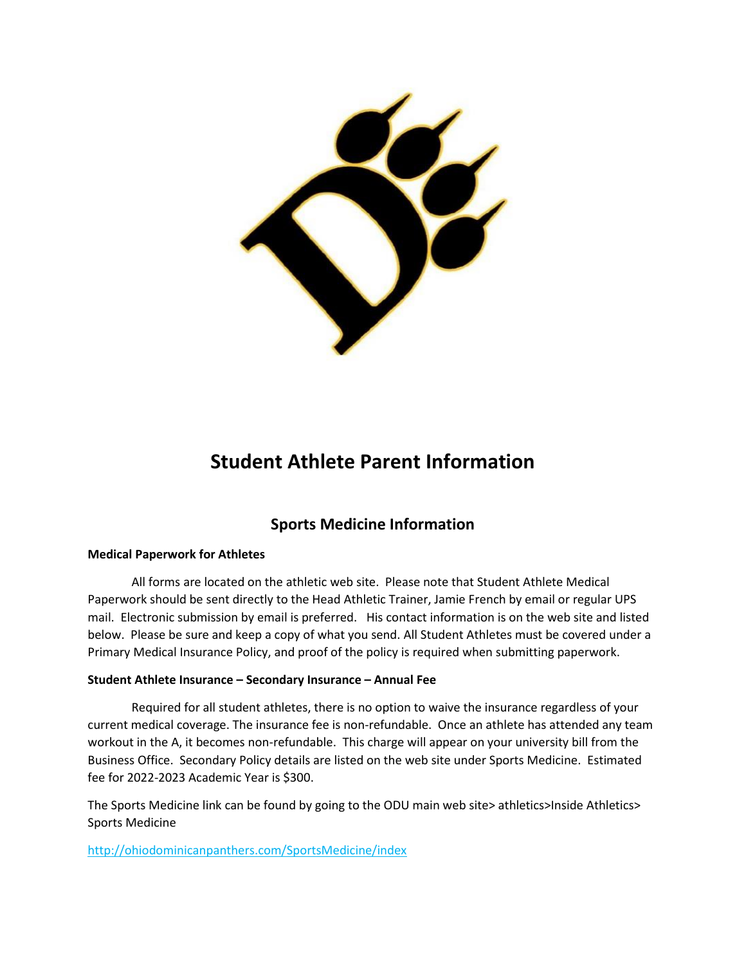

# **Student Athlete Parent Information**

## **Sports Medicine Information**

#### **Medical Paperwork for Athletes**

All forms are located on the athletic web site. Please note that Student Athlete Medical Paperwork should be sent directly to the Head Athletic Trainer, Jamie French by email or regular UPS mail. Electronic submission by email is preferred. His contact information is on the web site and listed below. Please be sure and keep a copy of what you send. All Student Athletes must be covered under a Primary Medical Insurance Policy, and proof of the policy is required when submitting paperwork.

#### **Student Athlete Insurance – Secondary Insurance – Annual Fee**

Required for all student athletes, there is no option to waive the insurance regardless of your current medical coverage. The insurance fee is non-refundable. Once an athlete has attended any team workout in the A, it becomes non-refundable. This charge will appear on your university bill from the Business Office. Secondary Policy details are listed on the web site under Sports Medicine. Estimated fee for 2022-2023 Academic Year is \$300.

The Sports Medicine link can be found by going to the ODU main web site> athletics>Inside Athletics> Sports Medicine

<http://ohiodominicanpanthers.com/SportsMedicine/index>